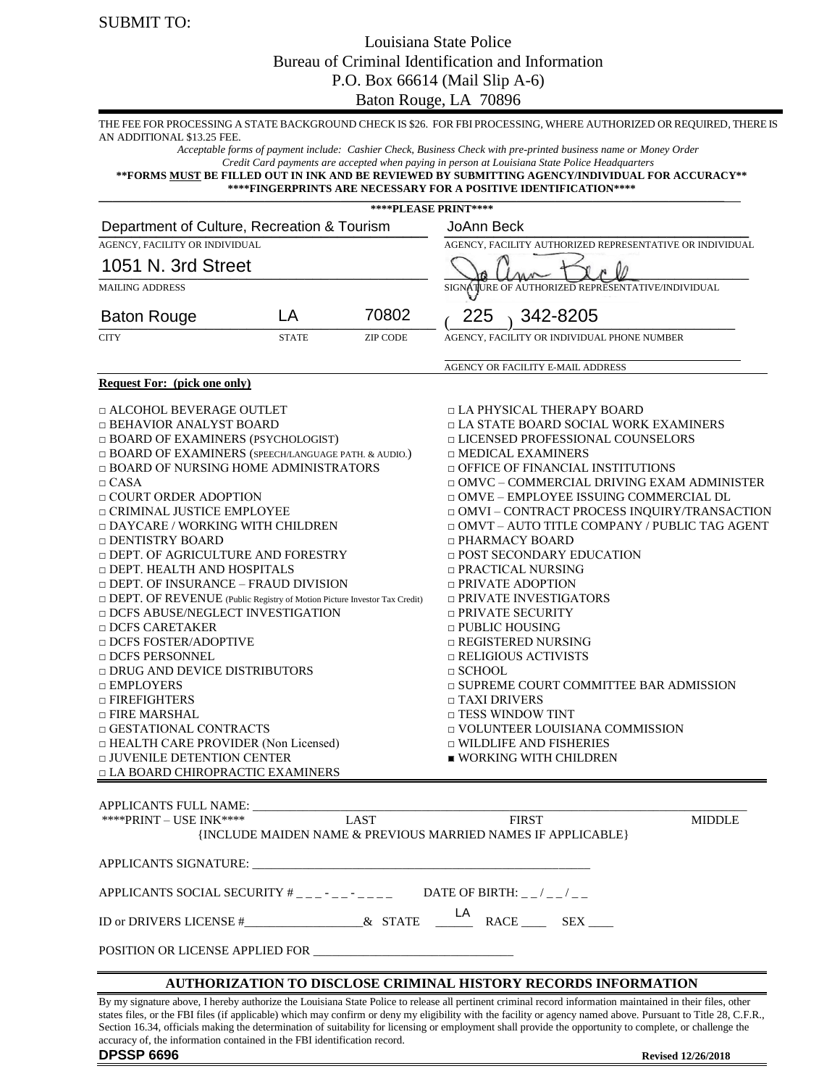### Louisiana State Police Bureau of Criminal Identification and Information P.O. Box 66614 (Mail Slip A-6)

Baton Rouge, LA 70896

| AN ADDITIONAL \$13.25 FEE.                                                                                                                                                                                                                                                                                                                                                                                                                                                                                                                                                                                                                                                                                                                                                                                                                                                                                        |    |                      | THE FEE FOR PROCESSING A STATE BACKGROUND CHECK IS \$26. FOR FBI PROCESSING, WHERE AUTHORIZED OR REQUIRED, THERE IS                                                                                                                                                                                                                                                                                                                                                                                                                                                                                                                                                                                                                                                                                                                                                     |  |  |  |
|-------------------------------------------------------------------------------------------------------------------------------------------------------------------------------------------------------------------------------------------------------------------------------------------------------------------------------------------------------------------------------------------------------------------------------------------------------------------------------------------------------------------------------------------------------------------------------------------------------------------------------------------------------------------------------------------------------------------------------------------------------------------------------------------------------------------------------------------------------------------------------------------------------------------|----|----------------------|-------------------------------------------------------------------------------------------------------------------------------------------------------------------------------------------------------------------------------------------------------------------------------------------------------------------------------------------------------------------------------------------------------------------------------------------------------------------------------------------------------------------------------------------------------------------------------------------------------------------------------------------------------------------------------------------------------------------------------------------------------------------------------------------------------------------------------------------------------------------------|--|--|--|
|                                                                                                                                                                                                                                                                                                                                                                                                                                                                                                                                                                                                                                                                                                                                                                                                                                                                                                                   |    |                      | Acceptable forms of payment include: Cashier Check, Business Check with pre-printed business name or Money Order<br>Credit Card payments are accepted when paying in person at Louisiana State Police Headquarters<br>**FORMS MUST BE FILLED OUT IN INK AND BE REVIEWED BY SUBMITTING AGENCY/INDIVIDUAL FOR ACCURACY**<br>****FINGERPRINTS ARE NECESSARY FOR A POSITIVE IDENTIFICATION****                                                                                                                                                                                                                                                                                                                                                                                                                                                                              |  |  |  |
|                                                                                                                                                                                                                                                                                                                                                                                                                                                                                                                                                                                                                                                                                                                                                                                                                                                                                                                   |    | ****PLEASE PRINT**** |                                                                                                                                                                                                                                                                                                                                                                                                                                                                                                                                                                                                                                                                                                                                                                                                                                                                         |  |  |  |
| Department of Culture, Recreation & Tourism                                                                                                                                                                                                                                                                                                                                                                                                                                                                                                                                                                                                                                                                                                                                                                                                                                                                       |    |                      | JoAnn Beck                                                                                                                                                                                                                                                                                                                                                                                                                                                                                                                                                                                                                                                                                                                                                                                                                                                              |  |  |  |
| AGENCY, FACILITY OR INDIVIDUAL                                                                                                                                                                                                                                                                                                                                                                                                                                                                                                                                                                                                                                                                                                                                                                                                                                                                                    |    |                      | AGENCY, FACILITY AUTHORIZED REPRESENTATIVE OR INDIVIDUAL                                                                                                                                                                                                                                                                                                                                                                                                                                                                                                                                                                                                                                                                                                                                                                                                                |  |  |  |
| 1051 N. 3rd Street                                                                                                                                                                                                                                                                                                                                                                                                                                                                                                                                                                                                                                                                                                                                                                                                                                                                                                |    |                      |                                                                                                                                                                                                                                                                                                                                                                                                                                                                                                                                                                                                                                                                                                                                                                                                                                                                         |  |  |  |
| <b>MAILING ADDRESS</b>                                                                                                                                                                                                                                                                                                                                                                                                                                                                                                                                                                                                                                                                                                                                                                                                                                                                                            |    |                      | SIGNATURE OF AUTHORIZED REPRESENTATIVE/INDIVIDUAL                                                                                                                                                                                                                                                                                                                                                                                                                                                                                                                                                                                                                                                                                                                                                                                                                       |  |  |  |
| <b>Baton Rouge</b>                                                                                                                                                                                                                                                                                                                                                                                                                                                                                                                                                                                                                                                                                                                                                                                                                                                                                                | LA | 70802                | 225<br>342-8205                                                                                                                                                                                                                                                                                                                                                                                                                                                                                                                                                                                                                                                                                                                                                                                                                                                         |  |  |  |
| <b>CITY</b><br><b>STATE</b><br><b>ZIP CODE</b>                                                                                                                                                                                                                                                                                                                                                                                                                                                                                                                                                                                                                                                                                                                                                                                                                                                                    |    |                      | AGENCY, FACILITY OR INDIVIDUAL PHONE NUMBER                                                                                                                                                                                                                                                                                                                                                                                                                                                                                                                                                                                                                                                                                                                                                                                                                             |  |  |  |
|                                                                                                                                                                                                                                                                                                                                                                                                                                                                                                                                                                                                                                                                                                                                                                                                                                                                                                                   |    |                      | AGENCY OR FACILITY E-MAIL ADDRESS                                                                                                                                                                                                                                                                                                                                                                                                                                                                                                                                                                                                                                                                                                                                                                                                                                       |  |  |  |
| <b>Request For:</b> (pick one only)                                                                                                                                                                                                                                                                                                                                                                                                                                                                                                                                                                                                                                                                                                                                                                                                                                                                               |    |                      |                                                                                                                                                                                                                                                                                                                                                                                                                                                                                                                                                                                                                                                                                                                                                                                                                                                                         |  |  |  |
| □ ALCOHOL BEVERAGE OUTLET<br>□ BEHAVIOR ANALYST BOARD<br>□ BOARD OF EXAMINERS (PSYCHOLOGIST)<br>□ BOARD OF EXAMINERS (SPEECH/LANGUAGE PATH. & AUDIO.)<br>□ BOARD OF NURSING HOME ADMINISTRATORS<br>$\Box$ CASA<br>□ COURT ORDER ADOPTION<br>□ CRIMINAL JUSTICE EMPLOYEE<br>□ DAYCARE / WORKING WITH CHILDREN<br>□ DENTISTRY BOARD<br><b>DEPT. OF AGRICULTURE AND FORESTRY</b><br>□ DEPT. HEALTH AND HOSPITALS<br>□ DEPT. OF INSURANCE – FRAUD DIVISION<br>$\Box$ DEPT. OF REVENUE (Public Registry of Motion Picture Investor Tax Credit)<br><b>DCFS ABUSE/NEGLECT INVESTIGATION</b><br>□ DCFS CARETAKER<br>□ DCFS FOSTER/ADOPTIVE<br>□ DCFS PERSONNEL<br><b>DRUG AND DEVICE DISTRIBUTORS</b><br>$\Box$ EMPLOYERS<br>$\Box$ FIREFIGHTERS<br>$\Box$ FIRE MARSHAL<br>□ GESTATIONAL CONTRACTS<br>$\Box$ HEALTH CARE PROVIDER (Non Licensed)<br>$\Box$ JUVENILE DETENTION CENTER<br>□ LA BOARD CHIROPRACTIC EXAMINERS |    |                      | □ LA PHYSICAL THERAPY BOARD<br>□ LA STATE BOARD SOCIAL WORK EXAMINERS<br>□ LICENSED PROFESSIONAL COUNSELORS<br>$\Box$ MEDICAL EXAMINERS<br><b><math>\Box</math> OFFICE OF FINANCIAL INSTITUTIONS</b><br>□ OMVC – COMMERCIAL DRIVING EXAM ADMINISTER<br>□ OMVE – EMPLOYEE ISSUING COMMERCIAL DL<br>□ OMVI – CONTRACT PROCESS INQUIRY/TRANSACTION<br>□ OMVT - AUTO TITLE COMPANY / PUBLIC TAG AGENT<br>□ PHARMACY BOARD<br>□ POST SECONDARY EDUCATION<br>□ PRACTICAL NURSING<br>$\Box$ PRIVATE ADOPTION<br>□ PRIVATE INVESTIGATORS<br>□ PRIVATE SECURITY<br>$\Box$ PUBLIC HOUSING<br>$\Box$ REGISTERED NURSING<br>$\Box$ RELIGIOUS ACTIVISTS<br>$\Box$ SCHOOL<br>□ SUPREME COURT COMMITTEE BAR ADMISSION<br>$\Box$ TAXI DRIVERS<br>$\Box$ TESS WINDOW TINT<br>□ VOLUNTEER LOUISIANA COMMISSION<br><b>D</b> WILDLIFE AND FISHERIES<br>$\blacksquare$ WORKING WITH CHILDREN |  |  |  |
| APPLICANTS FULL NAME:<br>**** PRINT - USE INK****                                                                                                                                                                                                                                                                                                                                                                                                                                                                                                                                                                                                                                                                                                                                                                                                                                                                 |    | <b>LAST</b>          | <b>FIRST</b><br><b>MIDDLE</b><br>{INCLUDE MAIDEN NAME & PREVIOUS MARRIED NAMES IF APPLICABLE}                                                                                                                                                                                                                                                                                                                                                                                                                                                                                                                                                                                                                                                                                                                                                                           |  |  |  |
|                                                                                                                                                                                                                                                                                                                                                                                                                                                                                                                                                                                                                                                                                                                                                                                                                                                                                                                   |    |                      |                                                                                                                                                                                                                                                                                                                                                                                                                                                                                                                                                                                                                                                                                                                                                                                                                                                                         |  |  |  |
|                                                                                                                                                                                                                                                                                                                                                                                                                                                                                                                                                                                                                                                                                                                                                                                                                                                                                                                   |    |                      | APPLICANTS SOCIAL SECURITY $#$ _ _ _ - _ _ _ _ _ _ _ DATE OF BIRTH: _ _ / _ _ / _ _                                                                                                                                                                                                                                                                                                                                                                                                                                                                                                                                                                                                                                                                                                                                                                                     |  |  |  |
|                                                                                                                                                                                                                                                                                                                                                                                                                                                                                                                                                                                                                                                                                                                                                                                                                                                                                                                   |    |                      |                                                                                                                                                                                                                                                                                                                                                                                                                                                                                                                                                                                                                                                                                                                                                                                                                                                                         |  |  |  |
|                                                                                                                                                                                                                                                                                                                                                                                                                                                                                                                                                                                                                                                                                                                                                                                                                                                                                                                   |    |                      |                                                                                                                                                                                                                                                                                                                                                                                                                                                                                                                                                                                                                                                                                                                                                                                                                                                                         |  |  |  |
|                                                                                                                                                                                                                                                                                                                                                                                                                                                                                                                                                                                                                                                                                                                                                                                                                                                                                                                   |    |                      | <b>AUTHORIZATION TO DISCLOSE CRIMINAL HISTORY RECORDS INFORMATION</b>                                                                                                                                                                                                                                                                                                                                                                                                                                                                                                                                                                                                                                                                                                                                                                                                   |  |  |  |
|                                                                                                                                                                                                                                                                                                                                                                                                                                                                                                                                                                                                                                                                                                                                                                                                                                                                                                                   |    |                      | By my signature above, I hereby authorize the Louisiana State Police to release all pertinent criminal record information maintained in their files, other<br>states files, or the FBI files (if applicable) which may confirm or deny my eligibility with the facility or agency named above. Pursuant to Title 28, C.F.R.,<br>Section 16.34, officials making the determination of suitability for licensing or employment shall provide the opportunity to complete, or challenge the                                                                                                                                                                                                                                                                                                                                                                                |  |  |  |

accuracy of, the information contained in the FBI identification record. **DPSSP 6696 Revised 12/26/2018**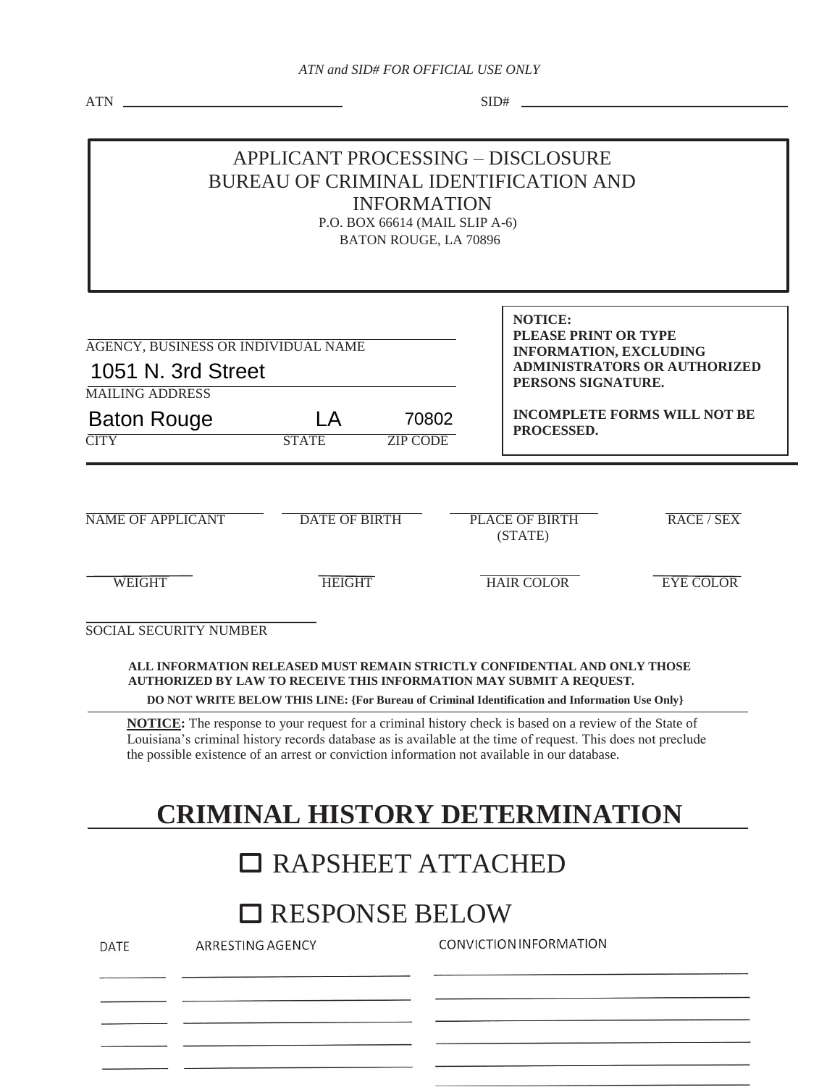$ATN$   $SID#$   $SID#$ 

#### APPLICANT PROCESSING – DISCLOSURE BUREAU OF CRIMINAL IDENTIFICATION AND INFORMATION

P.O. BOX 66614 (MAIL SLIP A-6) BATON ROUGE, LA 70896

| AGENCY, BUSINESS OR INDIVIDUAL NAME<br>1051 N. 3rd Street   |                                         |                          |  | <b>NOTICE:</b><br>PLEASE PRINT OR TYPE<br><b>INFORMATION, EXCLUDING</b><br><b>ADMINISTRATORS OR AUTHORIZED</b><br>PERSONS SIGNATURE. |                  |  |
|-------------------------------------------------------------|-----------------------------------------|--------------------------|--|--------------------------------------------------------------------------------------------------------------------------------------|------------------|--|
| <b>MAILING ADDRESS</b><br><b>Baton Rouge</b><br><b>CITY</b> | $\overline{\mathsf{A}}$<br><b>STATE</b> | 70802<br><b>ZIP CODE</b> |  | <b>INCOMPLETE FORMS WILL NOT BE</b><br>PROCESSED.                                                                                    |                  |  |
| <b>NAME OF APPLICANT</b>                                    | <b>DATE OF BIRTH</b>                    |                          |  | PLACE OF BIRTH<br>(STATE)                                                                                                            | RACE/SEX         |  |
| <b>WEIGHT</b>                                               | <b>HEIGHT</b>                           |                          |  | <b>HAIR COLOR</b>                                                                                                                    | <b>EYE COLOR</b> |  |
| <b>SOCIAL SECURITY NUMBER</b>                               |                                         |                          |  |                                                                                                                                      |                  |  |

**ALL INFORMATION RELEASED MUST REMAIN STRICTLY CONFIDENTIAL AND ONLY THOSE AUTHORIZED BY LAW TO RECEIVE THIS INFORMATION MAY SUBMIT A REQUEST.** 

**DO NOT WRITE BELOW THIS LINE: {For Bureau of Criminal Identification and Information Use Only}** 

**NOTICE:** The response to your request for a criminal history check is based on a review of the State of Louisiana's criminal history records database as is available at the time of request. This does not preclude the possible existence of an arrest or conviction information not available in our database.

# **CRIMINAL HISTORY DETERMINATION**

## RAPSHEET ATTACHED

## □ RESPONSE BELOW

| DATE | ARRESTING AGENCY | CONVICTION INFORMATION |
|------|------------------|------------------------|
|      |                  |                        |
|      |                  |                        |
|      |                  |                        |